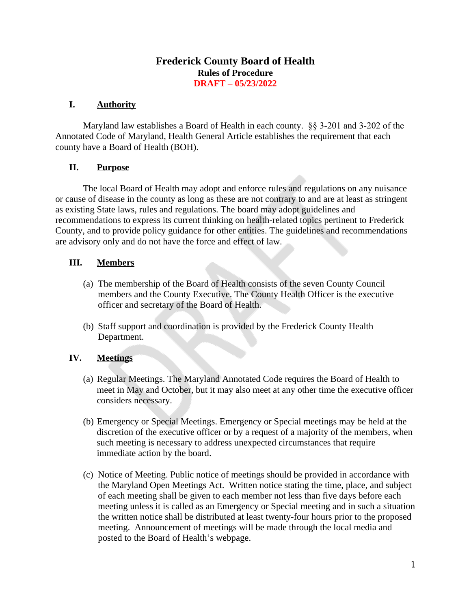### **Frederick County Board of Health Rules of Procedure DRAFT – 05/23/2022**

### **I. Authority**

Maryland law establishes a Board of Health in each county. §§ 3-201 and 3-202 of the Annotated Code of Maryland, Health General Article establishes the requirement that each county have a Board of Health (BOH).

#### **II. Purpose**

The local Board of Health may adopt and enforce rules and regulations on any nuisance or cause of disease in the county as long as these are not contrary to and are at least as stringent as existing State laws, rules and regulations. The board may adopt guidelines and recommendations to express its current thinking on health-related topics pertinent to Frederick County, and to provide policy guidance for other entities. The guidelines and recommendations are advisory only and do not have the force and effect of law.

#### **III. Members**

- (a) The membership of the Board of Health consists of the seven County Council members and the County Executive. The County Health Officer is the executive officer and secretary of the Board of Health.
- (b) Staff support and coordination is provided by the Frederick County Health Department.

### **IV. Meetings**

- (a) Regular Meetings. The Maryland Annotated Code requires the Board of Health to meet in May and October, but it may also meet at any other time the executive officer considers necessary.
- (b) Emergency or Special Meetings. Emergency or Special meetings may be held at the discretion of the executive officer or by a request of a majority of the members, when such meeting is necessary to address unexpected circumstances that require immediate action by the board.
- (c) Notice of Meeting. Public notice of meetings should be provided in accordance with the Maryland Open Meetings Act. Written notice stating the time, place, and subject of each meeting shall be given to each member not less than five days before each meeting unless it is called as an Emergency or Special meeting and in such a situation the written notice shall be distributed at least twenty-four hours prior to the proposed meeting. Announcement of meetings will be made through the local media and posted to the Board of Health's webpage.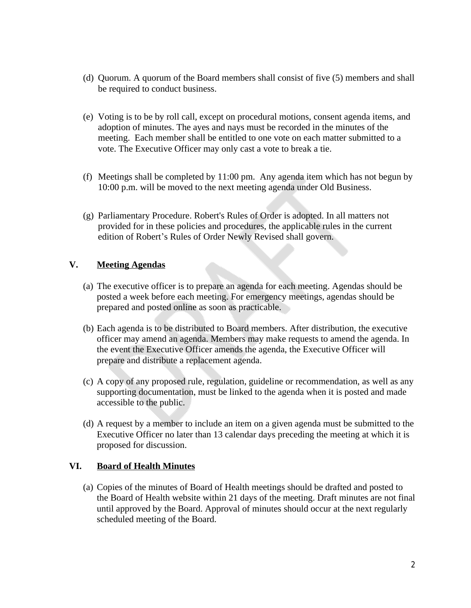- (d) Quorum. A quorum of the Board members shall consist of five (5) members and shall be required to conduct business.
- (e) Voting is to be by roll call, except on procedural motions, consent agenda items, and adoption of minutes. The ayes and nays must be recorded in the minutes of the meeting. Each member shall be entitled to one vote on each matter submitted to a vote. The Executive Officer may only cast a vote to break a tie.
- (f) Meetings shall be completed by 11:00 pm. Any agenda item which has not begun by 10:00 p.m. will be moved to the next meeting agenda under Old Business.
- (g) Parliamentary Procedure. Robert's Rules of Order is adopted. In all matters not provided for in these policies and procedures, the applicable rules in the current edition of Robert's Rules of Order Newly Revised shall govern.

### **V. Meeting Agendas**

- (a) The executive officer is to prepare an agenda for each meeting. Agendas should be posted a week before each meeting. For emergency meetings, agendas should be prepared and posted online as soon as practicable.
- (b) Each agenda is to be distributed to Board members. After distribution, the executive officer may amend an agenda. Members may make requests to amend the agenda. In the event the Executive Officer amends the agenda, the Executive Officer will prepare and distribute a replacement agenda.
- (c) A copy of any proposed rule, regulation, guideline or recommendation, as well as any supporting documentation, must be linked to the agenda when it is posted and made accessible to the public.
- (d) A request by a member to include an item on a given agenda must be submitted to the Executive Officer no later than 13 calendar days preceding the meeting at which it is proposed for discussion.

### **VI. Board of Health Minutes**

(a) Copies of the minutes of Board of Health meetings should be drafted and posted to the Board of Health website within 21 days of the meeting. Draft minutes are not final until approved by the Board. Approval of minutes should occur at the next regularly scheduled meeting of the Board.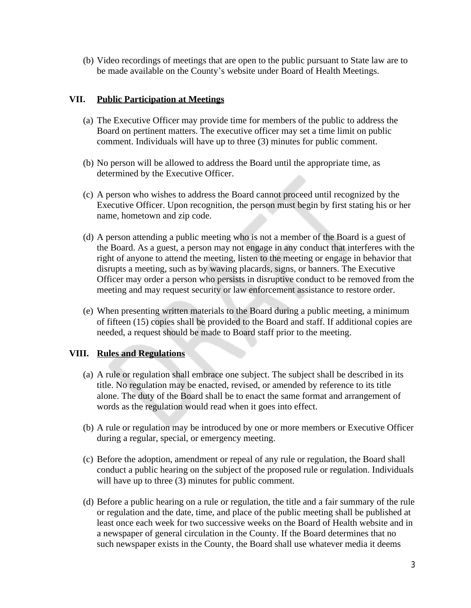(b) Video recordings of meetings that are open to the public pursuant to State law are to be made available on the County's website under Board of Health Meetings.

#### **VII. Public Participation at Meetings**

- (a) The Executive Officer may provide time for members of the public to address the Board on pertinent matters. The executive officer may set a time limit on public comment. Individuals will have up to three (3) minutes for public comment.
- (b) No person will be allowed to address the Board until the appropriate time, as determined by the Executive Officer.
- (c) A person who wishes to address the Board cannot proceed until recognized by the Executive Officer. Upon recognition, the person must begin by first stating his or her name, hometown and zip code.
- (d) A person attending a public meeting who is not a member of the Board is a guest of the Board. As a guest, a person may not engage in any conduct that interferes with the right of anyone to attend the meeting, listen to the meeting or engage in behavior that disrupts a meeting, such as by waving placards, signs, or banners. The Executive Officer may order a person who persists in disruptive conduct to be removed from the meeting and may request security or law enforcement assistance to restore order.
- (e) When presenting written materials to the Board during a public meeting, a minimum of fifteen (15) copies shall be provided to the Board and staff. If additional copies are needed, a request should be made to Board staff prior to the meeting.

### **VIII. Rules and Regulations**

- (a) A rule or regulation shall embrace one subject. The subject shall be described in its title. No regulation may be enacted, revised, or amended by reference to its title alone. The duty of the Board shall be to enact the same format and arrangement of words as the regulation would read when it goes into effect.
- (b) A rule or regulation may be introduced by one or more members or Executive Officer during a regular, special, or emergency meeting.
- (c) Before the adoption, amendment or repeal of any rule or regulation, the Board shall conduct a public hearing on the subject of the proposed rule or regulation. Individuals will have up to three (3) minutes for public comment.
- (d) Before a public hearing on a rule or regulation, the title and a fair summary of the rule or regulation and the date, time, and place of the public meeting shall be published at least once each week for two successive weeks on the Board of Health website and in a newspaper of general circulation in the County. If the Board determines that no such newspaper exists in the County, the Board shall use whatever media it deems